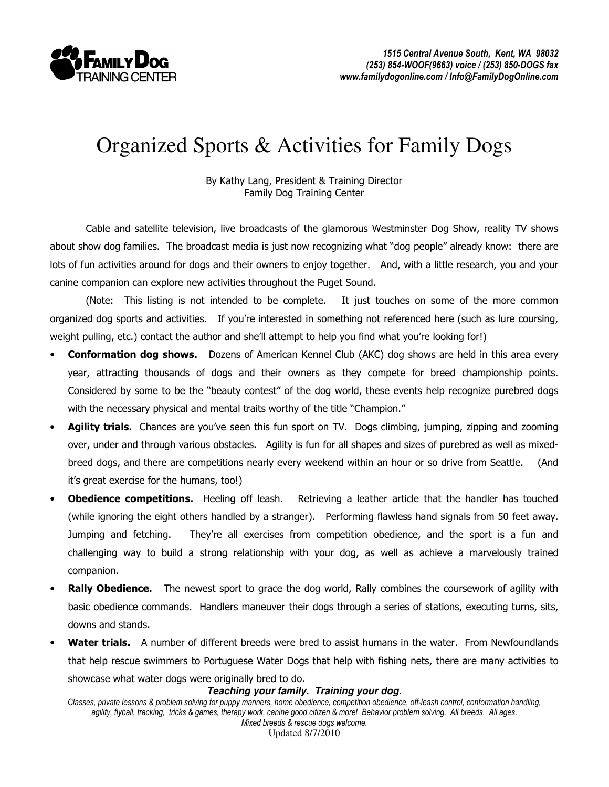

## Organized Sports & Activities for Family Dogs

By Kathy Lang, President & Training Director Family Dog Training Center

 Cable and satellite television, live broadcasts of the glamorous Westminster Dog Show, reality TV shows about show dog families. The broadcast media is just now recognizing what "dog people" already know: there are lots of fun activities around for dogs and their owners to enjoy together. And, with a little research, you and your canine companion can explore new activities throughout the Puget Sound.

(Note: This listing is not intended to be complete. It just touches on some of the more common organized dog sports and activities. If you're interested in something not referenced here (such as lure coursing, weight pulling, etc.) contact the author and she'll attempt to help you find what you're looking for!)

- **Conformation dog shows.** Dozens of American Kennel Club (AKC) dog shows are held in this area every year, attracting thousands of dogs and their owners as they compete for breed championship points. Considered by some to be the "beauty contest" of the dog world, these events help recognize purebred dogs with the necessary physical and mental traits worthy of the title "Champion."
- Agility trials. Chances are you've seen this fun sport on TV. Dogs climbing, jumping, zipping and zooming over, under and through various obstacles. Agility is fun for all shapes and sizes of purebred as well as mixedbreed dogs, and there are competitions nearly every weekend within an hour or so drive from Seattle. (And it's great exercise for the humans, too!)
- **Obedience competitions.** Heeling off leash. Retrieving a leather article that the handler has touched (while ignoring the eight others handled by a stranger). Performing flawless hand signals from 50 feet away. Jumping and fetching. They're all exercises from competition obedience, and the sport is a fun and challenging way to build a strong relationship with your dog, as well as achieve a marvelously trained companion.
- **Rally Obedience.** The newest sport to grace the dog world, Rally combines the coursework of agility with basic obedience commands. Handlers maneuver their dogs through a series of stations, executing turns, sits, downs and stands.
- **Water trials.** A number of different breeds were bred to assist humans in the water. From Newfoundlands that help rescue swimmers to Portuguese Water Dogs that help with fishing nets, there are many activities to showcase what water dogs were originally bred to do.

## **Teaching your family. Training your dog.**

Classes, private lessons & problem solving for puppy manners, home obedience, competition obedience, off-leash control, conformation handling, agility, flyball, tracking, tricks & games, therapy work, canine good citizen & more! Behavior problem solving. All breeds. All ages. Mixed breeds & rescue dogs welcome.

Updated 8/7/2010